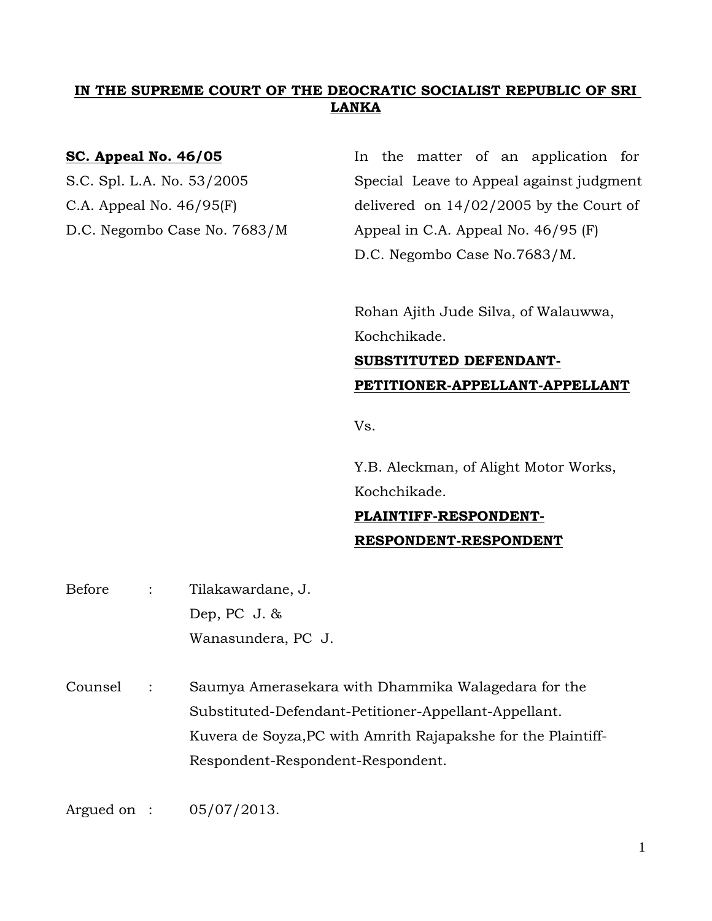# **IN THE SUPREME COURT OF THE DEOCRATIC SOCIALIST REPUBLIC OF SRI LANKA**

**SC. Appeal No. 46/05** In the matter of an application for S.C. Spl. L.A. No. 53/2005 Special Leave to Appeal against judgment C.A. Appeal No.  $46/95$ (F) delivered on  $14/02/2005$  by the Court of D.C. Negombo Case No. 7683/M Appeal in C.A. Appeal No. 46/95 (F) D.C. Negombo Case No.7683/M.

> Rohan Ajith Jude Silva, of Walauwwa, Kochchikade.

**SUBSTITUTED DEFENDANT-PETITIONER-APPELLANT-APPELLANT**

Vs.

Y.B. Aleckman, of Alight Motor Works, Kochchikade.

# **PLAINTIFF-RESPONDENT-RESPONDENT-RESPONDENT**

| Before  | $\ddot{\cdot}$ | Tilakawardane, J.                                             |
|---------|----------------|---------------------------------------------------------------|
|         |                | Dep, PC $J.$ &                                                |
|         |                | Wanasundera, PC J.                                            |
|         |                |                                                               |
| Counsel | $\ddot{\cdot}$ | Saumya Amerasekara with Dhammika Walagedara for the           |
|         |                | Substituted-Defendant-Petitioner-Appellant-Appellant.         |
|         |                | Kuvera de Soyza, PC with Amrith Rajapakshe for the Plaintiff- |
|         |                | Respondent-Respondent-Respondent.                             |
|         |                |                                                               |
|         |                |                                                               |

Argued on : 05/07/2013.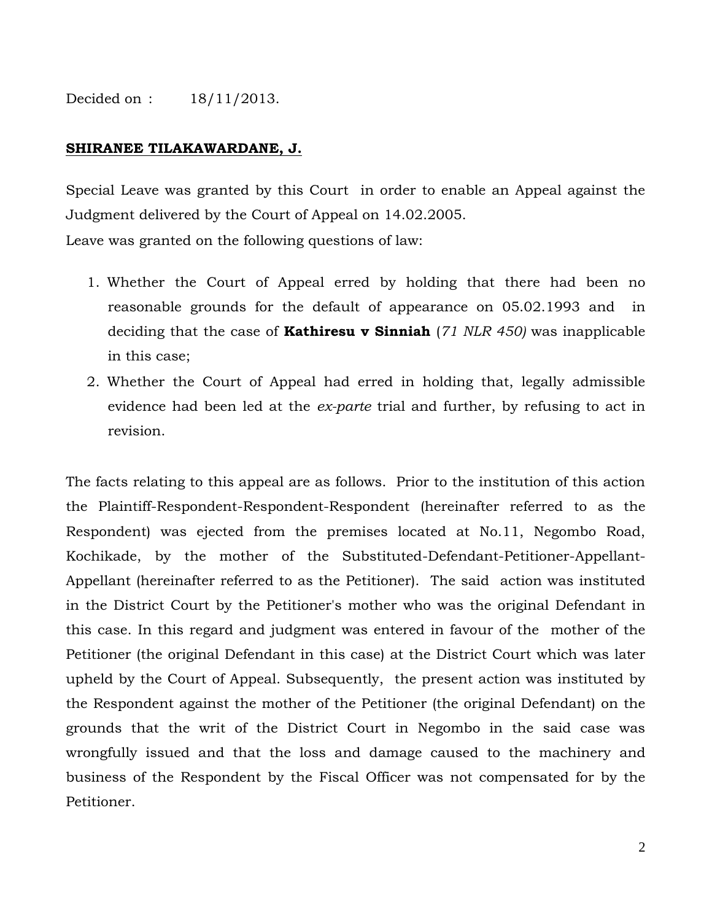# Decided on : 18/11/2013.

### **SHIRANEE TILAKAWARDANE, J.**

Special Leave was granted by this Court in order to enable an Appeal against the Judgment delivered by the Court of Appeal on 14.02.2005.

Leave was granted on the following questions of law:

- 1. Whether the Court of Appeal erred by holding that there had been no reasonable grounds for the default of appearance on 05.02.1993 and in deciding that the case of **Kathiresu v Sinniah** (*71 NLR 450)* was inapplicable in this case;
- 2. Whether the Court of Appeal had erred in holding that, legally admissible evidence had been led at the *ex-parte* trial and further, by refusing to act in revision.

The facts relating to this appeal are as follows. Prior to the institution of this action the Plaintiff-Respondent-Respondent-Respondent (hereinafter referred to as the Respondent) was ejected from the premises located at No.11, Negombo Road, Kochikade, by the mother of the Substituted-Defendant-Petitioner-Appellant-Appellant (hereinafter referred to as the Petitioner). The said action was instituted in the District Court by the Petitioner's mother who was the original Defendant in this case. In this regard and judgment was entered in favour of the mother of the Petitioner (the original Defendant in this case) at the District Court which was later upheld by the Court of Appeal. Subsequently, the present action was instituted by the Respondent against the mother of the Petitioner (the original Defendant) on the grounds that the writ of the District Court in Negombo in the said case was wrongfully issued and that the loss and damage caused to the machinery and business of the Respondent by the Fiscal Officer was not compensated for by the Petitioner.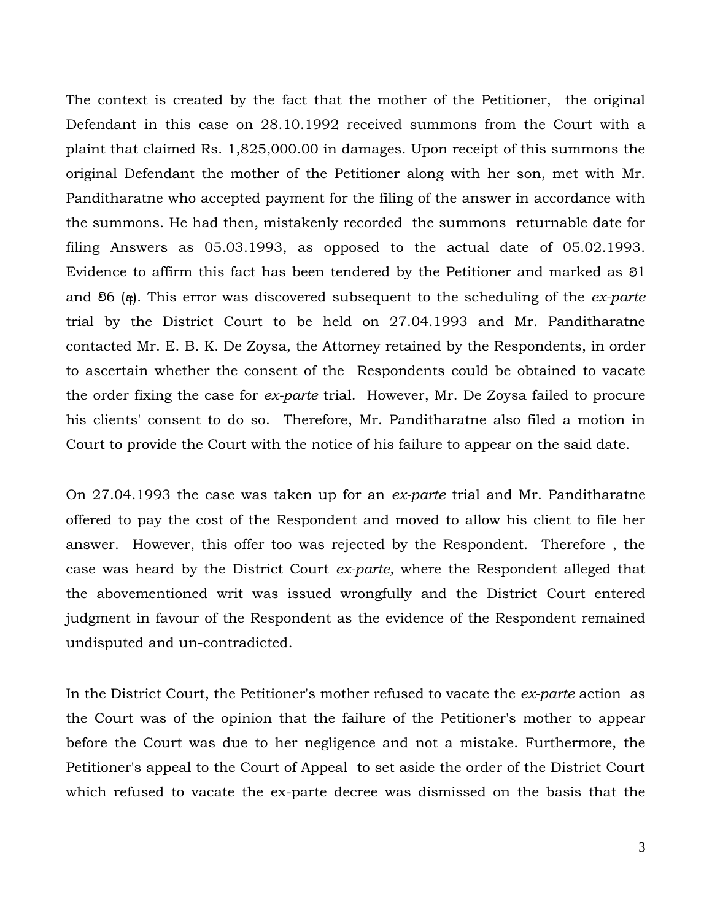The context is created by the fact that the mother of the Petitioner, the original Defendant in this case on 28.10.1992 received summons from the Court with a plaint that claimed Rs. 1,825,000.00 in damages. Upon receipt of this summons the original Defendant the mother of the Petitioner along with her son, met with Mr. Panditharatne who accepted payment for the filing of the answer in accordance with the summons. He had then, mistakenly recorded the summons returnable date for filing Answers as 05.03.1993, as opposed to the actual date of 05.02.1993. Evidence to affirm this fact has been tendered by the Petitioner and marked as  $\delta$ 1 and  $\delta$ 6 (*a*). This error was discovered subsequent to the scheduling of the *ex-parte* trial by the District Court to be held on 27.04.1993 and Mr. Panditharatne contacted Mr. E. B. K. De Zoysa, the Attorney retained by the Respondents, in order to ascertain whether the consent of the Respondents could be obtained to vacate the order fixing the case for *ex-parte* trial. However, Mr. De Zoysa failed to procure his clients' consent to do so. Therefore, Mr. Panditharatne also filed a motion in Court to provide the Court with the notice of his failure to appear on the said date.

On 27.04.1993 the case was taken up for an *ex-parte* trial and Mr. Panditharatne offered to pay the cost of the Respondent and moved to allow his client to file her answer. However, this offer too was rejected by the Respondent. Therefore , the case was heard by the District Court *ex-parte,* where the Respondent alleged that the abovementioned writ was issued wrongfully and the District Court entered judgment in favour of the Respondent as the evidence of the Respondent remained undisputed and un-contradicted.

In the District Court, the Petitioner's mother refused to vacate the *ex-parte* action as the Court was of the opinion that the failure of the Petitioner's mother to appear before the Court was due to her negligence and not a mistake. Furthermore, the Petitioner's appeal to the Court of Appeal to set aside the order of the District Court which refused to vacate the ex-parte decree was dismissed on the basis that the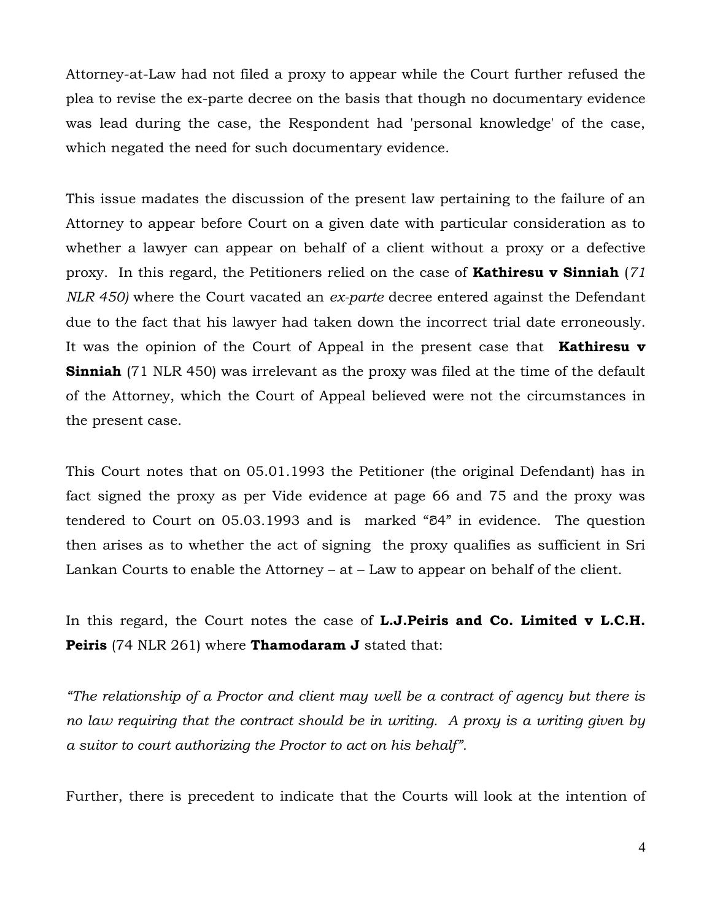Attorney-at-Law had not filed a proxy to appear while the Court further refused the plea to revise the ex-parte decree on the basis that though no documentary evidence was lead during the case, the Respondent had 'personal knowledge' of the case, which negated the need for such documentary evidence.

This issue madates the discussion of the present law pertaining to the failure of an Attorney to appear before Court on a given date with particular consideration as to whether a lawyer can appear on behalf of a client without a proxy or a defective proxy. In this regard, the Petitioners relied on the case of **Kathiresu v Sinniah** (*71 NLR 450)* where the Court vacated an *ex-parte* decree entered against the Defendant due to the fact that his lawyer had taken down the incorrect trial date erroneously. It was the opinion of the Court of Appeal in the present case that **Kathiresu v Sinniah** (71 NLR 450) was irrelevant as the proxy was filed at the time of the default of the Attorney, which the Court of Appeal believed were not the circumstances in the present case.

This Court notes that on 05.01.1993 the Petitioner (the original Defendant) has in fact signed the proxy as per Vide evidence at page 66 and 75 and the proxy was tendered to Court on  $05.03.1993$  and is marked " $84$ " in evidence. The question then arises as to whether the act of signing the proxy qualifies as sufficient in Sri Lankan Courts to enable the Attorney – at – Law to appear on behalf of the client.

In this regard, the Court notes the case of **L.J.Peiris and Co. Limited v L.C.H. Peiris** (74 NLR 261) where **Thamodaram J** stated that:

*"The relationship of a Proctor and client may well be a contract of agency but there is no law requiring that the contract should be in writing. A proxy is a writing given by a suitor to court authorizing the Proctor to act on his behalf".*

Further, there is precedent to indicate that the Courts will look at the intention of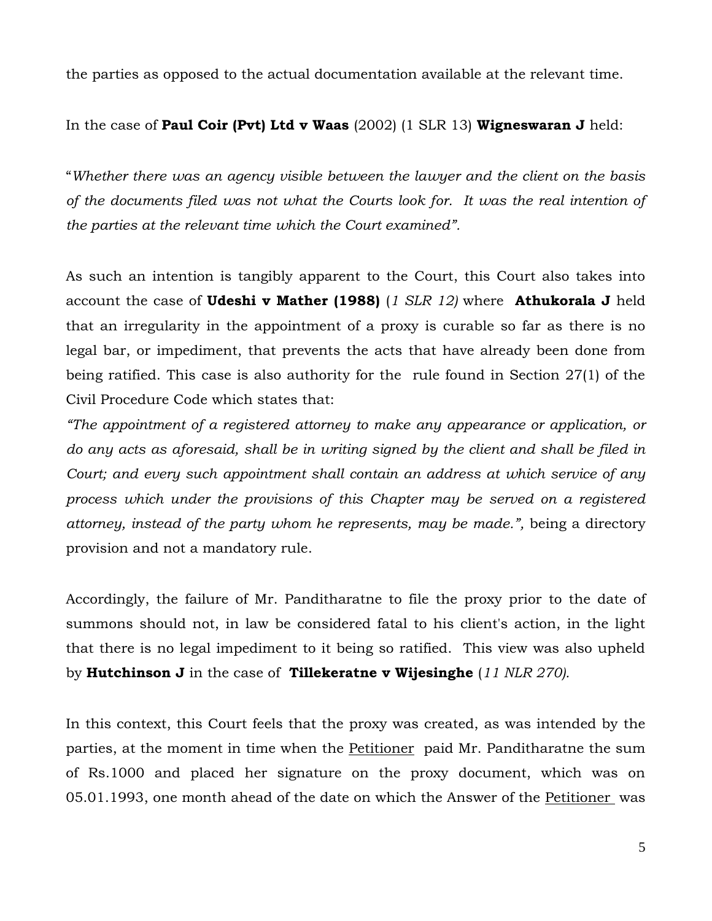the parties as opposed to the actual documentation available at the relevant time.

In the case of **Paul Coir (Pvt) Ltd v Waas** (2002) (1 SLR 13) **Wigneswaran J** held:

"*Whether there was an agency visible between the lawyer and the client on the basis of the documents filed was not what the Courts look for. It was the real intention of the parties at the relevant time which the Court examined".*

As such an intention is tangibly apparent to the Court, this Court also takes into account the case of **Udeshi v Mather (1988)** (*1 SLR 12)* where **Athukorala J** held that an irregularity in the appointment of a proxy is curable so far as there is no legal bar, or impediment, that prevents the acts that have already been done from being ratified. This case is also authority for the rule found in Section 27(1) of the Civil Procedure Code which states that:

*"The appointment of a registered attorney to make any appearance or application, or do any acts as aforesaid, shall be in writing signed by the client and shall be filed in Court; and every such appointment shall contain an address at which service of any process which under the provisions of this Chapter may be served on a registered attorney, instead of the party whom he represents, may be made.",* being a directory provision and not a mandatory rule.

Accordingly, the failure of Mr. Panditharatne to file the proxy prior to the date of summons should not, in law be considered fatal to his client's action, in the light that there is no legal impediment to it being so ratified. This view was also upheld by **Hutchinson J** in the case of **Tillekeratne v Wijesinghe** (*11 NLR 270).*

In this context, this Court feels that the proxy was created, as was intended by the parties, at the moment in time when the Petitioner paid Mr. Panditharatne the sum of Rs.1000 and placed her signature on the proxy document, which was on 05.01.1993, one month ahead of the date on which the Answer of the Petitioner was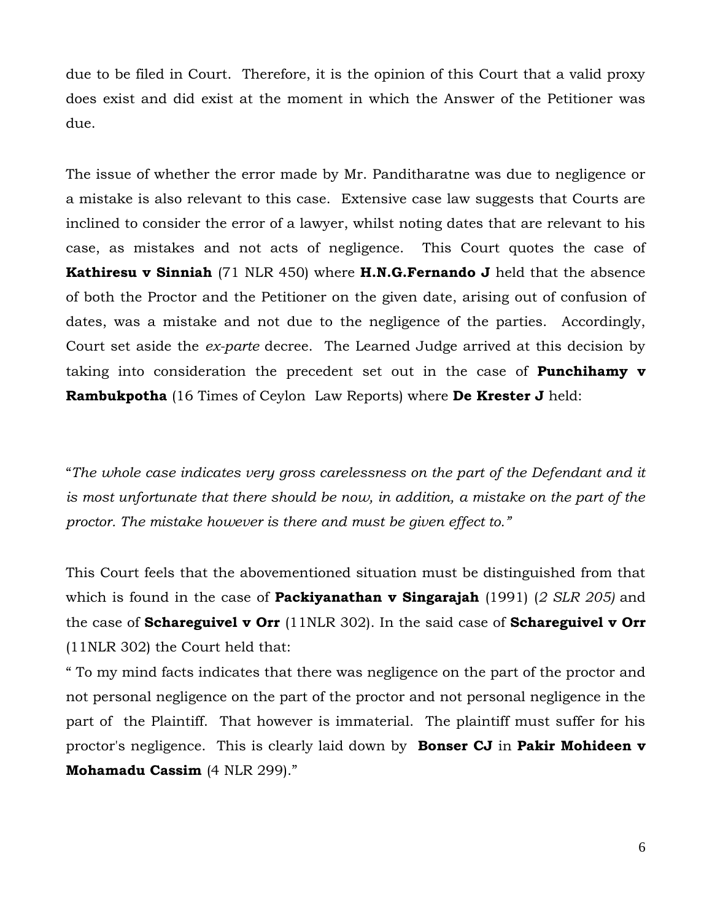due to be filed in Court. Therefore, it is the opinion of this Court that a valid proxy does exist and did exist at the moment in which the Answer of the Petitioner was due.

The issue of whether the error made by Mr. Panditharatne was due to negligence or a mistake is also relevant to this case. Extensive case law suggests that Courts are inclined to consider the error of a lawyer, whilst noting dates that are relevant to his case, as mistakes and not acts of negligence. This Court quotes the case of **Kathiresu v Sinniah** (71 NLR 450) where **H.N.G.Fernando J** held that the absence of both the Proctor and the Petitioner on the given date, arising out of confusion of dates, was a mistake and not due to the negligence of the parties. Accordingly, Court set aside the *ex-parte* decree. The Learned Judge arrived at this decision by taking into consideration the precedent set out in the case of **Punchihamy v Rambukpotha** (16 Times of Ceylon Law Reports) where **De Krester J** held:

"*The whole case indicates very gross carelessness on the part of the Defendant and it*  is most unfortunate that there should be now, in addition, a mistake on the part of the *proctor. The mistake however is there and must be given effect to."*

This Court feels that the abovementioned situation must be distinguished from that which is found in the case of **Packiyanathan v Singarajah** (1991) (*2 SLR 205)* and the case of **Schareguivel v Orr** (11NLR 302). In the said case of **Schareguivel v Orr**  (11NLR 302) the Court held that:

" To my mind facts indicates that there was negligence on the part of the proctor and not personal negligence on the part of the proctor and not personal negligence in the part of the Plaintiff. That however is immaterial. The plaintiff must suffer for his proctor's negligence. This is clearly laid down by **Bonser CJ** in **Pakir Mohideen v Mohamadu Cassim** (4 NLR 299)."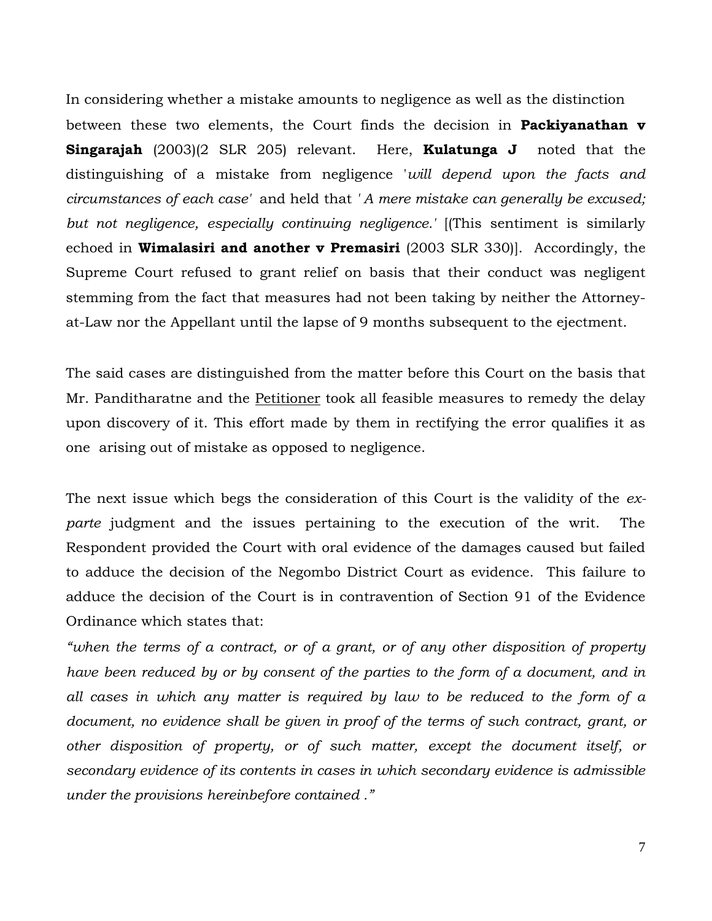In considering whether a mistake amounts to negligence as well as the distinction between these two elements, the Court finds the decision in **Packiyanathan v Singarajah** (2003)(2 SLR 205) relevant. Here, **Kulatunga J** noted that the distinguishing of a mistake from negligence '*will depend upon the facts and circumstances of each case'* and held that *' A mere mistake can generally be excused; but not negligence, especially continuing negligence.'* [(This sentiment is similarly echoed in **Wimalasiri and another v Premasiri** (2003 SLR 330)]. Accordingly, the Supreme Court refused to grant relief on basis that their conduct was negligent stemming from the fact that measures had not been taking by neither the Attorneyat-Law nor the Appellant until the lapse of 9 months subsequent to the ejectment.

The said cases are distinguished from the matter before this Court on the basis that Mr. Panditharatne and the Petitioner took all feasible measures to remedy the delay upon discovery of it. This effort made by them in rectifying the error qualifies it as one arising out of mistake as opposed to negligence.

The next issue which begs the consideration of this Court is the validity of the *exparte* judgment and the issues pertaining to the execution of the writ. The Respondent provided the Court with oral evidence of the damages caused but failed to adduce the decision of the Negombo District Court as evidence. This failure to adduce the decision of the Court is in contravention of Section 91 of the Evidence Ordinance which states that:

*"when the terms of a contract, or of a grant, or of any other disposition of property have been reduced by or by consent of the parties to the form of a document, and in all cases in which any matter is required by law to be reduced to the form of a*  document, no evidence shall be given in proof of the terms of such contract, grant, or *other disposition of property, or of such matter, except the document itself, or secondary evidence of its contents in cases in which secondary evidence is admissible under the provisions hereinbefore contained ."*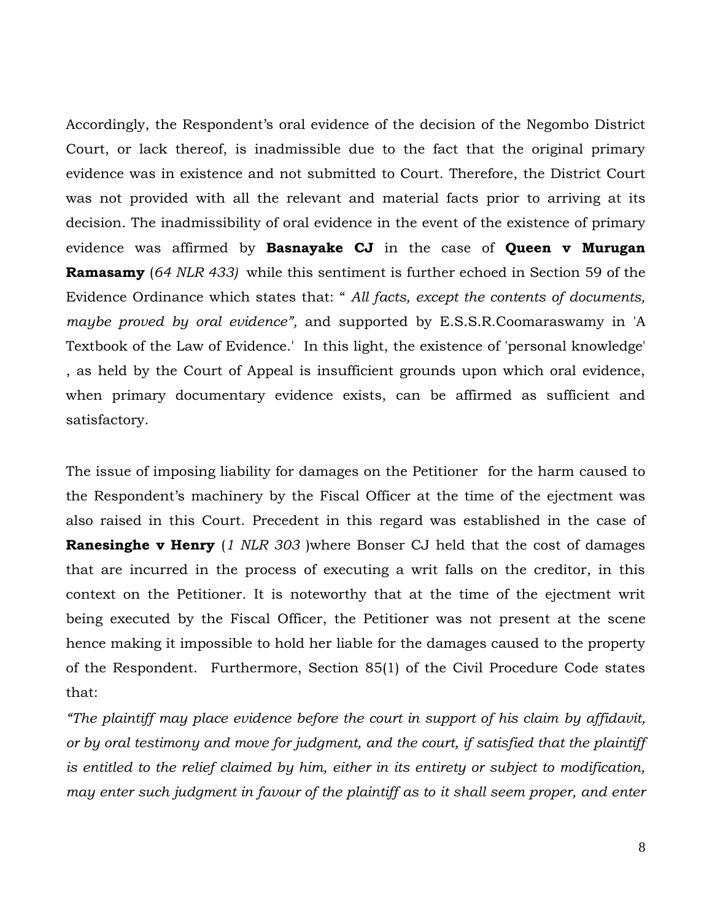Accordingly, the Respondent's oral evidence of the decision of the Negombo District Court, or lack thereof, is inadmissible due to the fact that the original primary evidence was in existence and not submitted to Court. Therefore, the District Court was not provided with all the relevant and material facts prior to arriving at its decision. The inadmissibility of oral evidence in the event of the existence of primary evidence was affirmed by **Basnayake CJ** in the case of **Queen v Murugan Ramasamy** (*64 NLR 433)* while this sentiment is further echoed in Section 59 of the Evidence Ordinance which states that: " *All facts, except the contents of documents, maybe proved by oral evidence",* and supported by E.S.S.R.Coomaraswamy in 'A Textbook of the Law of Evidence.' In this light, the existence of 'personal knowledge' , as held by the Court of Appeal is insufficient grounds upon which oral evidence, when primary documentary evidence exists, can be affirmed as sufficient and satisfactory.

The issue of imposing liability for damages on the Petitioner for the harm caused to the Respondent"s machinery by the Fiscal Officer at the time of the ejectment was also raised in this Court. Precedent in this regard was established in the case of **Ranesinghe v Henry** (*1 NLR 303* )where Bonser CJ held that the cost of damages that are incurred in the process of executing a writ falls on the creditor, in this context on the Petitioner. It is noteworthy that at the time of the ejectment writ being executed by the Fiscal Officer, the Petitioner was not present at the scene hence making it impossible to hold her liable for the damages caused to the property of the Respondent. Furthermore, Section 85(1) of the Civil Procedure Code states that:

*"The plaintiff may place evidence before the court in support of his claim by affidavit, or by oral testimony and move for judgment, and the court, if satisfied that the plaintiff is entitled to the relief claimed by him, either in its entirety or subject to modification, may enter such judgment in favour of the plaintiff as to it shall seem proper, and enter*